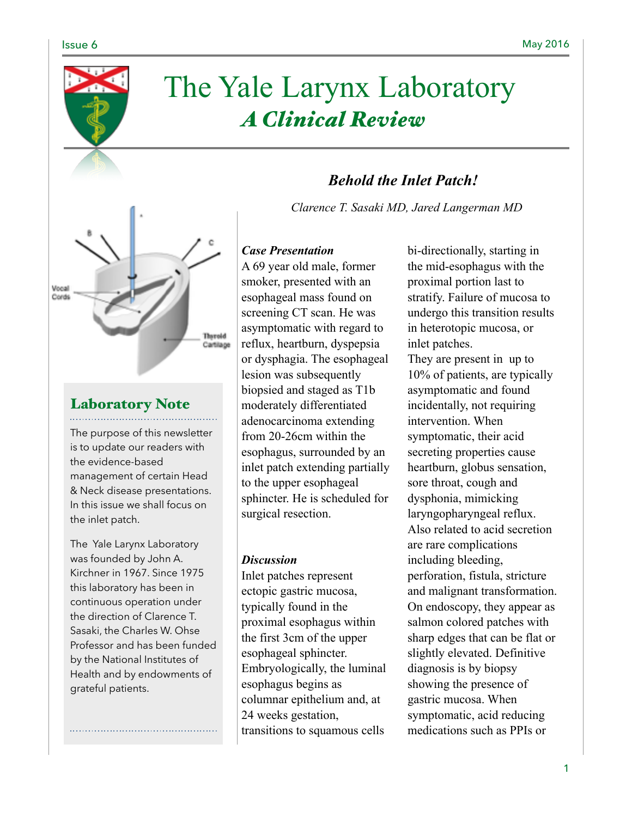

# The Yale Larynx Laboratory *A Clinical Review*

# *Behold the Inlet Patch!*

*Clarence T. Sasaki MD, Jared Langerman MD*



# Laboratory Note

The purpose of this newsletter is to update our readers with the evidence-based management of certain Head & Neck disease presentations. In this issue we shall focus on the inlet patch.

The Yale Larynx Laboratory was founded by John A. Kirchner in 1967. Since 1975 this laboratory has been in continuous operation under the direction of Clarence T. Sasaki, the Charles W. Ohse Professor and has been funded by the National Institutes of Health and by endowments of grateful patients.

### *Case Presentation*

A 69 year old male, former smoker, presented with an esophageal mass found on screening CT scan. He was asymptomatic with regard to reflux, heartburn, dyspepsia or dysphagia. The esophageal lesion was subsequently biopsied and staged as T1b moderately differentiated adenocarcinoma extending from 20-26cm within the esophagus, surrounded by an inlet patch extending partially to the upper esophageal sphincter. He is scheduled for surgical resection.

#### *Discussion*

Inlet patches represent ectopic gastric mucosa, typically found in the proximal esophagus within the first 3cm of the upper esophageal sphincter. Embryologically, the luminal esophagus begins as columnar epithelium and, at 24 weeks gestation, transitions to squamous cells

bi-directionally, starting in the mid-esophagus with the proximal portion last to stratify. Failure of mucosa to undergo this transition results in heterotopic mucosa, or inlet patches. They are present in up to 10% of patients, are typically asymptomatic and found incidentally, not requiring intervention. When symptomatic, their acid secreting properties cause heartburn, globus sensation, sore throat, cough and dysphonia, mimicking laryngopharyngeal reflux. Also related to acid secretion are rare complications including bleeding, perforation, fistula, stricture and malignant transformation. On endoscopy, they appear as salmon colored patches with sharp edges that can be flat or slightly elevated. Definitive diagnosis is by biopsy showing the presence of gastric mucosa. When symptomatic, acid reducing medications such as PPIs or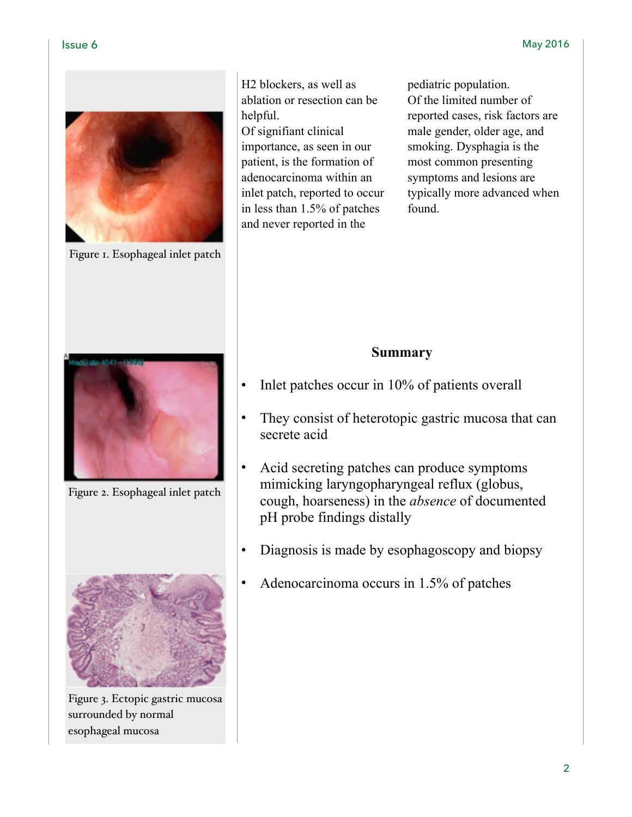

Figure 1. Esophageal inlet patch

H2 blockers, as well as ablation or resection can be helpful. Of signifiant clinical importance, as seen in our patient, is the formation of adenocarcinoma within an inlet patch, reported to occur in less than 1.5% of patches and never reported in the

pediatric population. Of the limited number of reported cases, risk factors are male gender, older age, and smoking. Dysphagia is the most common presenting symptoms and lesions are typically more advanced when found.



- Inlet patches occur in 10% of patients overall
- They consist of heterotopic gastric mucosa that can secrete acid
- Acid secreting patches can produce symptoms mimicking laryngopharyngeal reflux (globus, cough, hoarseness) in the *absence* of documented pH probe findings distally
- Diagnosis is made by esophagoscopy and biopsy
- Adenocarcinoma occurs in 1.5% of patches



Figure 2. Esophageal inlet patch



Figure 3. Ectopic gastric mucosa surrounded by normal esophageal mucosa